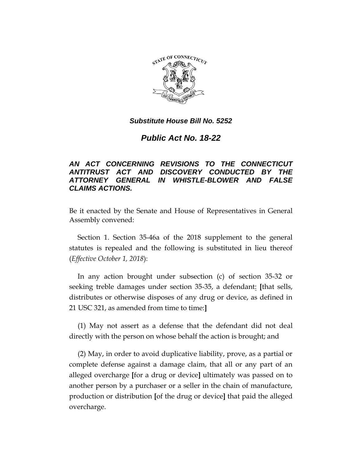

#### *Substitute House Bill No. 5252*

# *Public Act No. 18-22*

## *AN ACT CONCERNING REVISIONS TO THE CONNECTICUT ANTITRUST ACT AND DISCOVERY CONDUCTED BY THE ATTORNEY GENERAL IN WHISTLE-BLOWER AND FALSE CLAIMS ACTIONS.*

Be it enacted by the Senate and House of Representatives in General Assembly convened:

Section 1. Section 35-46a of the 2018 supplement to the general statutes is repealed and the following is substituted in lieu thereof (*Effective October 1, 2018*):

In any action brought under subsection (c) of section 35-32 or seeking treble damages under section 35-35, a defendant: **[**that sells, distributes or otherwise disposes of any drug or device, as defined in 21 USC 321, as amended from time to time:**]**

(1) May not assert as a defense that the defendant did not deal directly with the person on whose behalf the action is brought; and

(2) May, in order to avoid duplicative liability, prove, as a partial or complete defense against a damage claim, that all or any part of an alleged overcharge **[**for a drug or device**]** ultimately was passed on to another person by a purchaser or a seller in the chain of manufacture, production or distribution **[**of the drug or device**]** that paid the alleged overcharge.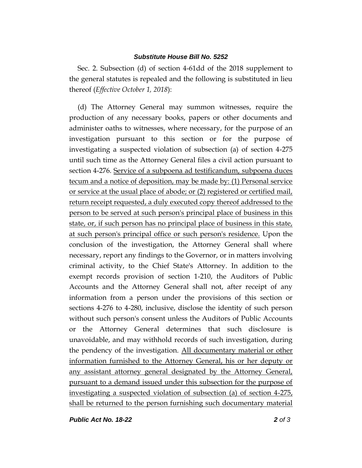#### *Substitute House Bill No. 5252*

Sec. 2. Subsection (d) of section 4-61dd of the 2018 supplement to the general statutes is repealed and the following is substituted in lieu thereof (*Effective October 1, 2018*):

(d) The Attorney General may summon witnesses, require the production of any necessary books, papers or other documents and administer oaths to witnesses, where necessary, for the purpose of an investigation pursuant to this section or for the purpose of investigating a suspected violation of subsection (a) of section 4-275 until such time as the Attorney General files a civil action pursuant to section 4-276. Service of a subpoena ad testificandum, subpoena duces tecum and a notice of deposition, may be made by: (1) Personal service or service at the usual place of abode; or (2) registered or certified mail, return receipt requested, a duly executed copy thereof addressed to the person to be served at such person's principal place of business in this state, or, if such person has no principal place of business in this state, at such person's principal office or such person's residence. Upon the conclusion of the investigation, the Attorney General shall where necessary, report any findings to the Governor, or in matters involving criminal activity, to the Chief State's Attorney. In addition to the exempt records provision of section 1-210, the Auditors of Public Accounts and the Attorney General shall not, after receipt of any information from a person under the provisions of this section or sections 4-276 to 4-280, inclusive, disclose the identity of such person without such person's consent unless the Auditors of Public Accounts or the Attorney General determines that such disclosure is unavoidable, and may withhold records of such investigation, during the pendency of the investigation. All documentary material or other information furnished to the Attorney General, his or her deputy or any assistant attorney general designated by the Attorney General, pursuant to a demand issued under this subsection for the purpose of investigating a suspected violation of subsection (a) of section 4-275, shall be returned to the person furnishing such documentary material

*Public Act No. 18-22 2 of 3*